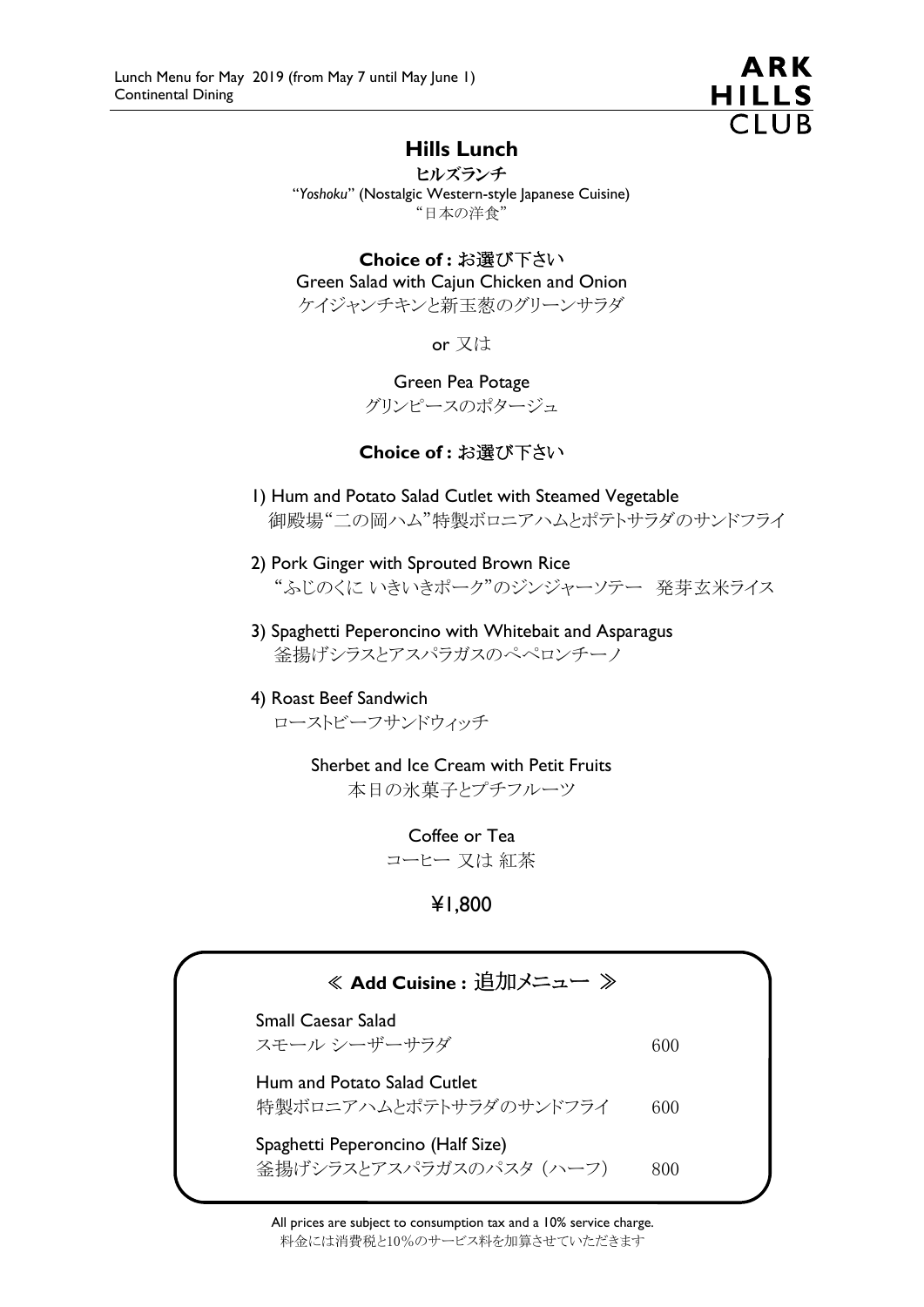

## Hills Lunch

ヒルズランチ "*Yoshoku*" (Nostalgic Western-style Japanese Cuisine) "日本の洋食"

### Choice of : お選び下さい

Green Salad with Cajun Chicken and Onion

ケイジャンチキンと新玉葱のグリーンサラダ

or 又は

Green Pea Potage

グリンピースのポタージュ

### Choice of : お選び下さい

- 1) Hum and Potato Salad Cutlet with Steamed Vegetable 御殿場"二の岡ハム"特製ボロニアハムとポテトサラダのサンドフライ
- 2) Pork Ginger with Sprouted Brown Rice "ふじのくに いきいきポーク"のジンジャーソテー 発芽玄米ライス
- 3) Spaghetti Peperoncino with Whitebait and Asparagus 釜揚げシラスとアスパラガスのぺペロンチーノ

#### 4) Roast Beef Sandwich ローストビーフサンドウィッチ

Sherbet and Ice Cream with Petit Fruits 本日の氷菓子とプチフルーツ

> Coffee or Tea コーヒー 又は 紅茶

> > ¥1,800

| ≪ Add Cuisine : 追加メニュー ≫                                     |     |
|--------------------------------------------------------------|-----|
| <b>Small Caesar Salad</b><br>スモール シーザーサラダ                    | 600 |
| Hum and Potato Salad Cutlet<br>特製ボロニアハムとポテトサラダのサンドフライ        | 600 |
| Spaghetti Peperoncino (Half Size)<br>釜揚げシラスとアスパラガスのパスタ (ハーフ) | 800 |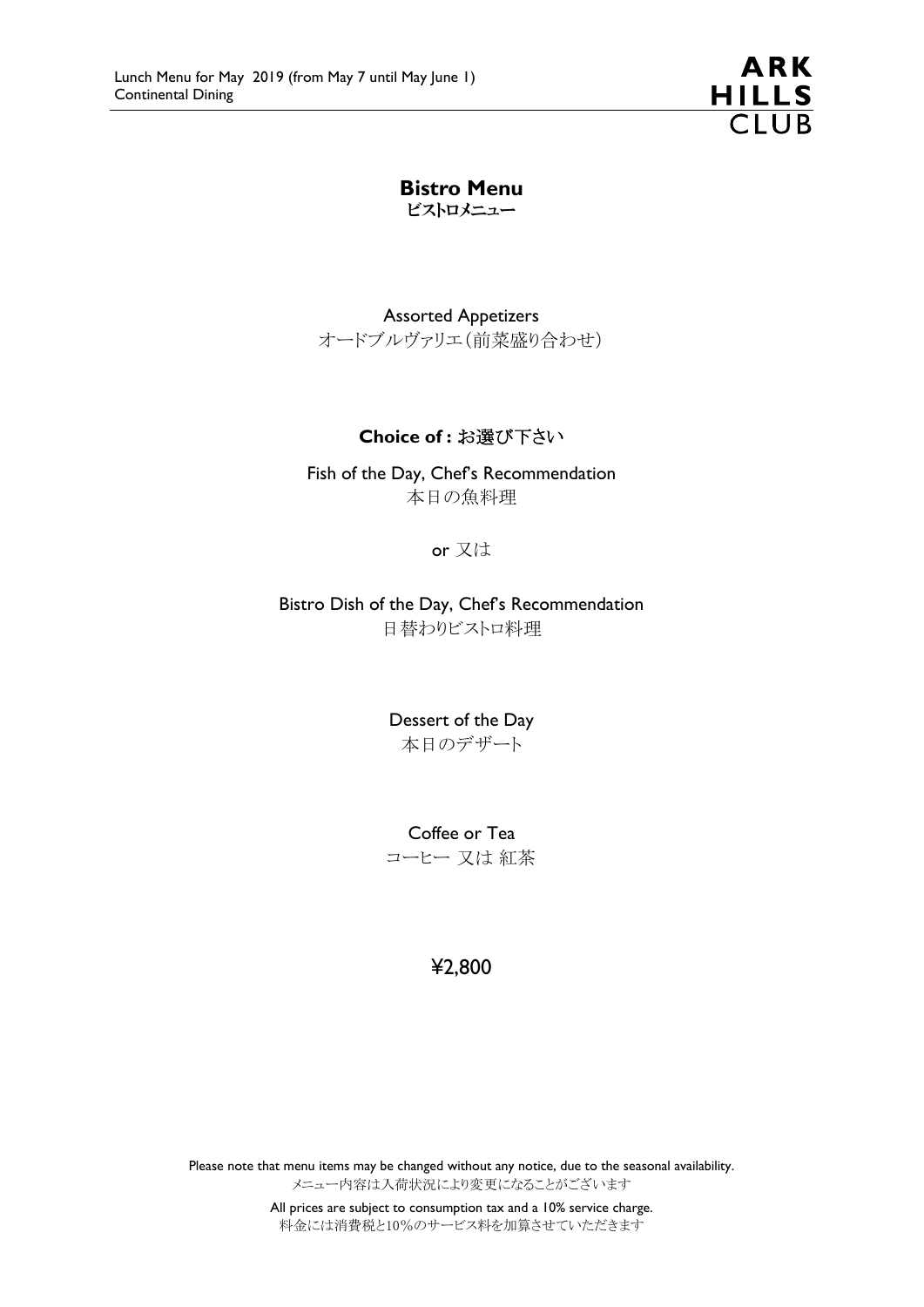**ARK HILLS**  $\overline{C}$ lub

Bistro Menu ビストロメニュー

Assorted Appetizers オードブルヴァリエ(前菜盛り合わせ)

#### Choice of : お選び下さい

Fish of the Day, Chef's Recommendation 本日の魚料理

or 又は

Bistro Dish of the Day, Chef's Recommendation 日替わりビストロ料理

> Dessert of the Day 本日のデザート

> Coffee or Tea コーヒー 又は 紅茶

> > ¥2,800

Please note that menu items may be changed without any notice, due to the seasonal availability. メニュー内容は入荷状況により変更になることがございます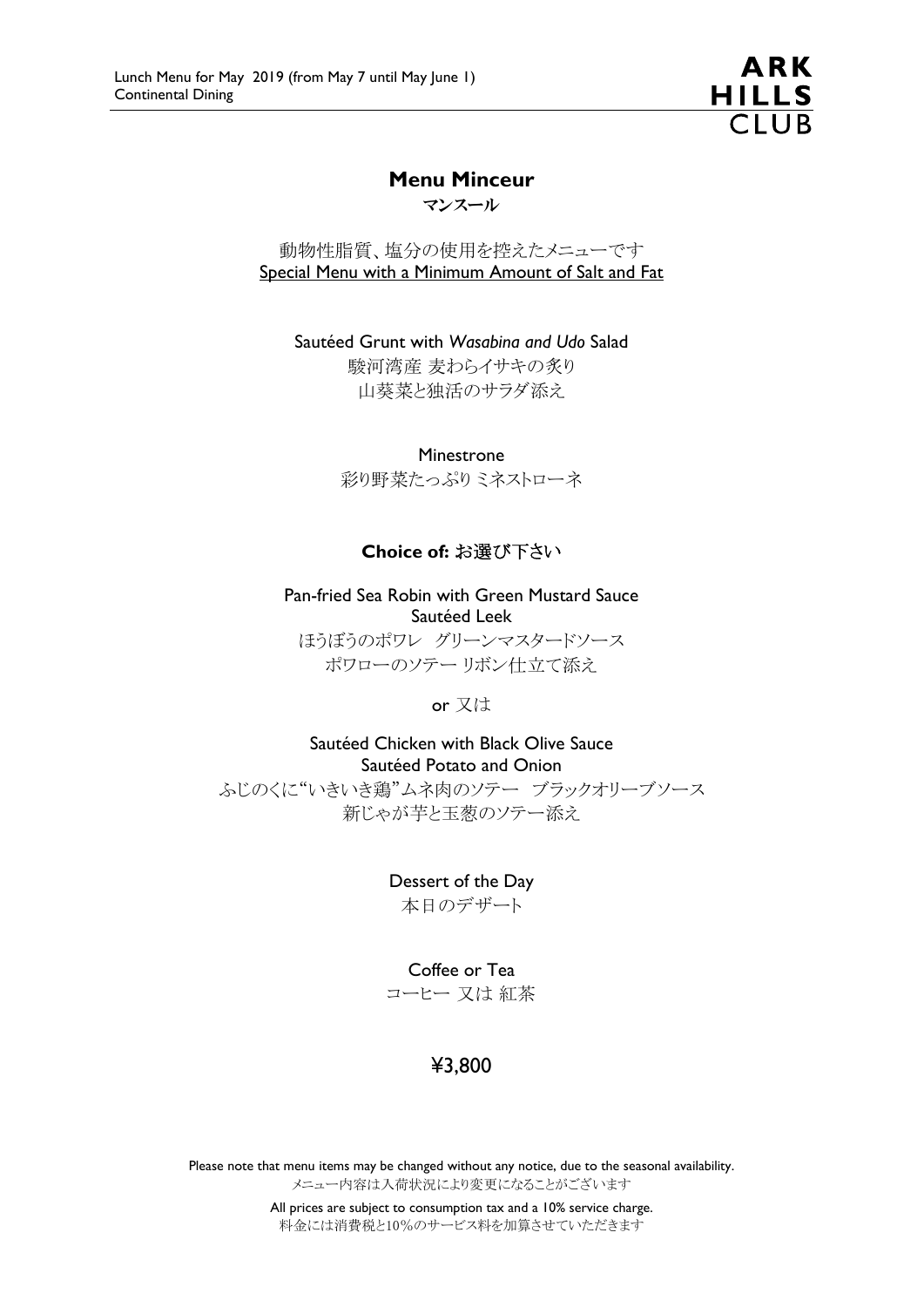ARK **HILLS**  $\overline{C}$ lla

## Menu Minceur

マンスール

動物性脂質、塩分の使用を控えたメニューです Special Menu with a Minimum Amount of Salt and Fat

Sautéed Grunt with *Wasabina and Udo* Salad 駿河湾産 麦わらイサキの炙り 山葵菜と独活のサラダ添え

Minestrone

彩り野菜たっぷりミネストローネ

### Choice of: お選び下さい

Pan-fried Sea Robin with Green Mustard Sauce Sautéed Leek ほうぼうのポワレ グリーンマスタードソース ポワローのソテー リボン仕立て添え

or 又は

Sautéed Chicken with Black Olive Sauce Sautéed Potato and Onion ふじのくに"いきいき鶏"ムネ肉のソテー ブラックオリーブソース 新じゃが芋と玉葱のソテー添え

Dessert of the Day

本日のデザート

#### Coffee or Tea

コーヒー 又は 紅茶

# ¥3,800

Please note that menu items may be changed without any notice, due to the seasonal availability. メニュー内容は入荷状況により変更になることがございます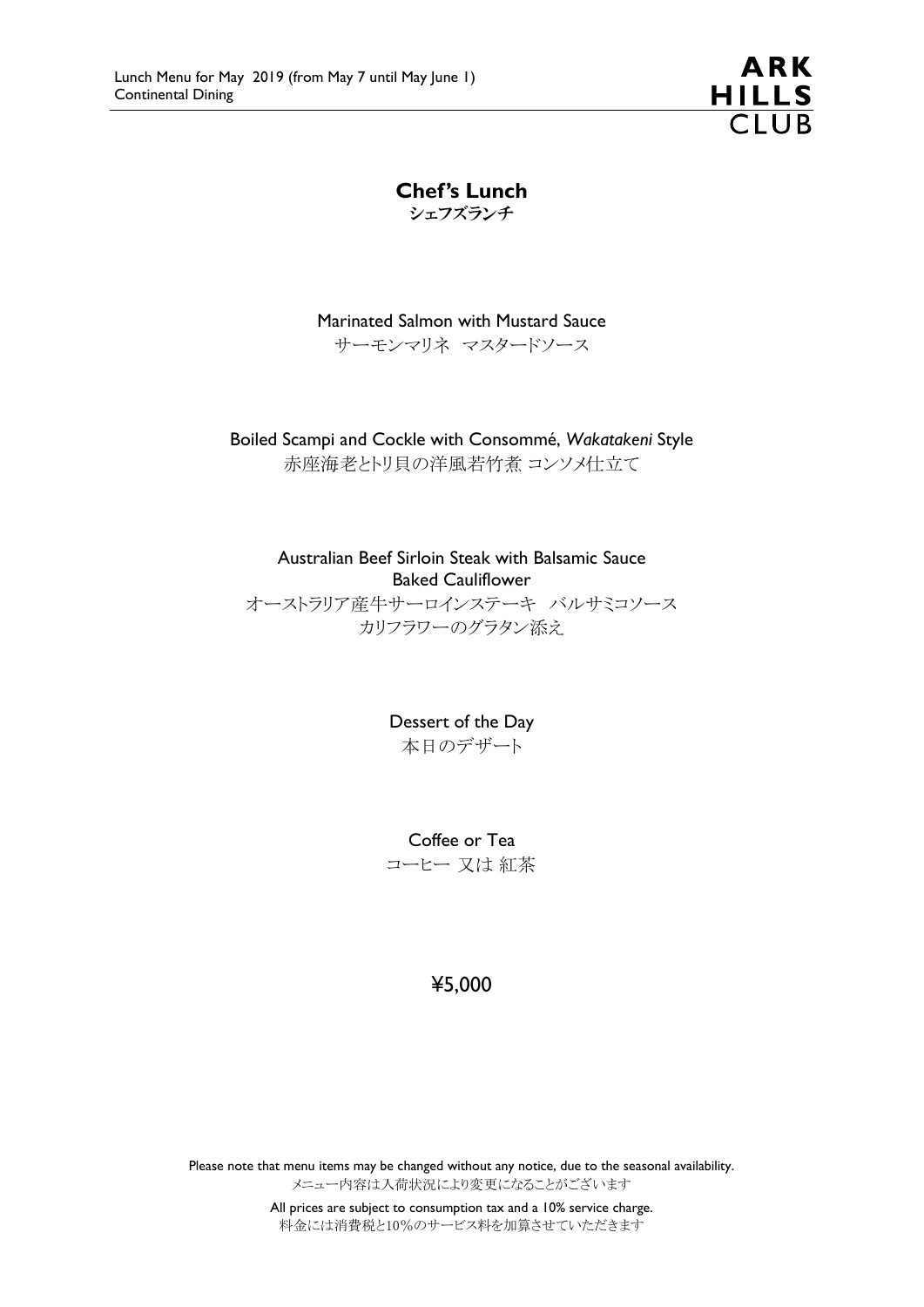**ARK HILLS**  $\overline{C}$ lub

Chef's Lunch シェフズランチ

Marinated Salmon with Mustard Sauce サーモンマリネ マスタードソース

Boiled Scampi and Cockle with Consommé, *Wakatakeni* Style 赤座海老とトリ貝の洋風若竹煮 コンソメ仕立て

Australian Beef Sirloin Steak with Balsamic Sauce Baked Cauliflower

オーストラリア産牛サーロインステーキ バルサミコソース カリフラワーのグラタン添え

> Dessert of the Day 本日のデザート

Coffee or Tea コーヒー 又は 紅茶

## ¥5,000

Please note that menu items may be changed without any notice, due to the seasonal availability. メニュー内容は入荷状況により変更になることがございます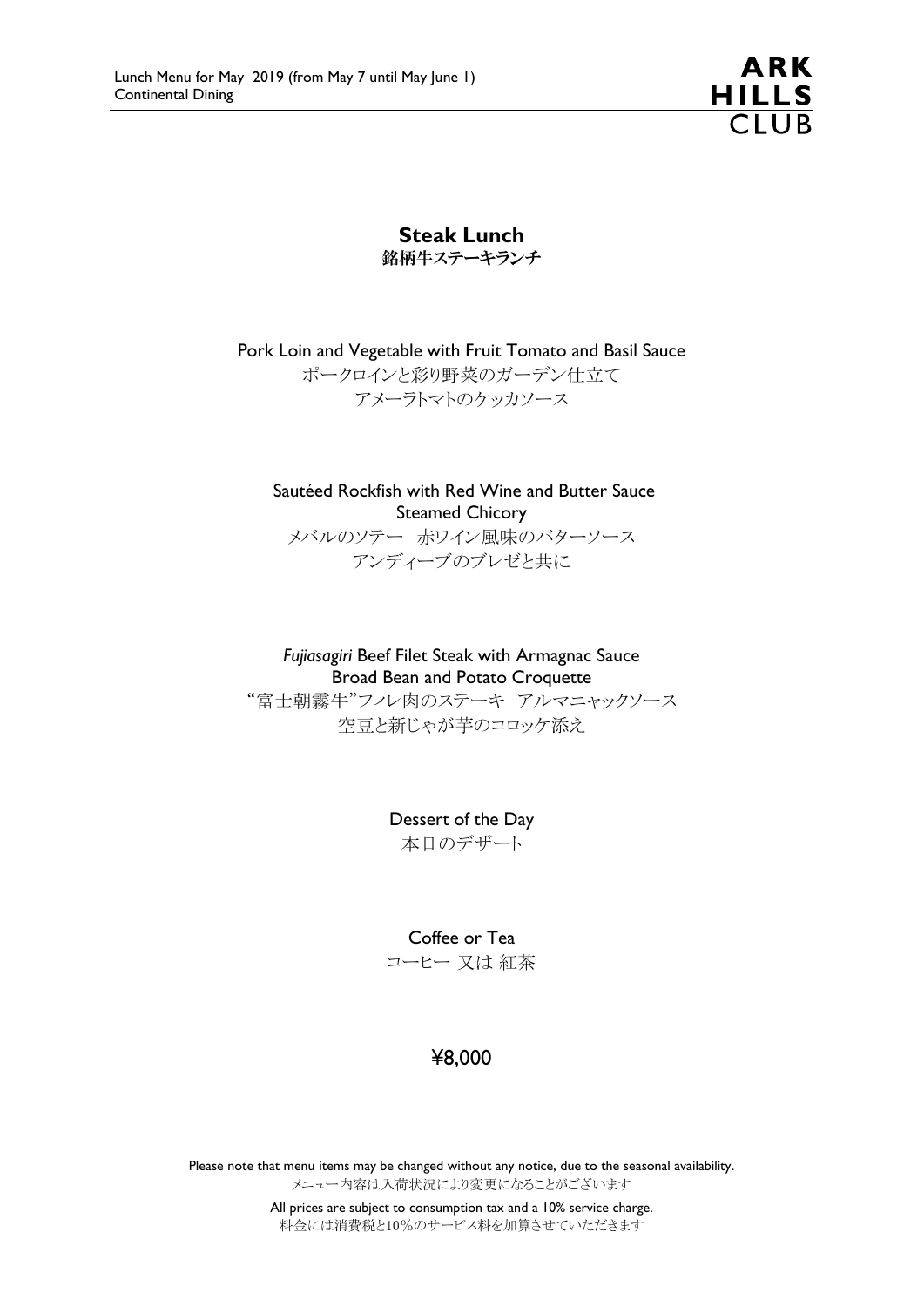**ARK HILLS**  $\overline{C1UB}$ 

Steak Lunch 銘柄牛ステーキランチ

Pork Loin and Vegetable with Fruit Tomato and Basil Sauce ポークロインと彩り野菜のガーデン仕立て アメーラトマトのケッカソース

Sautéed Rockfish with Red Wine and Butter Sauce Steamed Chicory メバルのソテー 赤ワイン風味のバターソース アンディーブのブレゼと共に

*Fujiasagiri* Beef Filet Steak with Armagnac Sauce Broad Bean and Potato Croquette

"富士朝霧牛"フィレ肉のステーキ アルマニャックソース 空豆と新じゃが芋のコロッケ添え

> Dessert of the Day 本日のデザート

> > Coffee or Tea

コーヒー 又は 紅茶

# ¥8,000

Please note that menu items may be changed without any notice, due to the seasonal availability. メニュー内容は入荷状況により変更になることがございます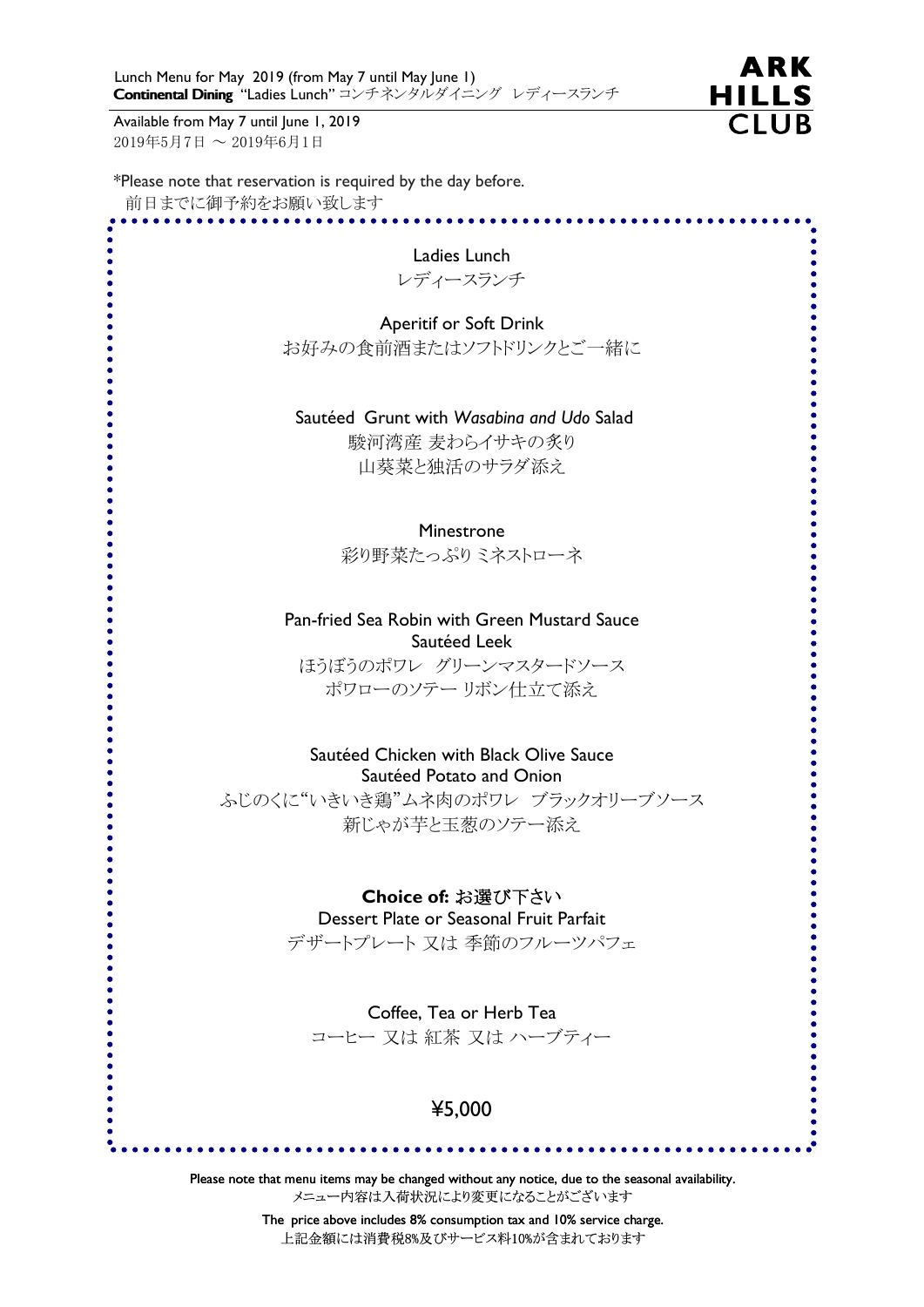Available from May 7 until June 1, 2019 2019年5月7日 ~ 2019年6月1日



\*Please note that reservation is required by the day before.

前日までに御予約をお願い致します

| Ladies Lunch                                                                                     |
|--------------------------------------------------------------------------------------------------|
| レディースランチ                                                                                         |
|                                                                                                  |
| <b>Aperitif or Soft Drink</b>                                                                    |
| お好みの食前酒またはソフトドリンクとご一緒に                                                                           |
|                                                                                                  |
| Sautéed Grunt with Wasabina and Udo Salad                                                        |
| 駿河湾産 麦わらイサキの炙り                                                                                   |
| 山葵菜と独活のサラダ添え                                                                                     |
|                                                                                                  |
| Minestrone                                                                                       |
| 彩り野菜たっぷりミネストローネ                                                                                  |
|                                                                                                  |
| Pan-fried Sea Robin with Green Mustard Sauce                                                     |
| Sautéed Leek                                                                                     |
| ほうぼうのポワレ グリーンマスタードソース                                                                            |
| ポワローのソテーリボン仕立て添え                                                                                 |
|                                                                                                  |
| Sautéed Chicken with Black Olive Sauce                                                           |
| Sautéed Potato and Onion                                                                         |
| ふじのくに"いきいき鶏"ムネ肉のポワレ ブラックオリーブソース                                                                  |
| 新じゃが芋と玉葱のソテー添え                                                                                   |
|                                                                                                  |
| Choice of: お選び下さい                                                                                |
| Dessert Plate or Seasonal Fruit Parfait                                                          |
| デザートプレート 又は 季節のフルーツパフェ                                                                           |
|                                                                                                  |
| Coffee, Tea or Herb Tea                                                                          |
| コーヒー 又は 紅茶 又は ハーブティー                                                                             |
|                                                                                                  |
|                                                                                                  |
| ¥5,000                                                                                           |
|                                                                                                  |
| Please note that menu items may be changed without any notice, due to the seasonal availability. |
| メニュー内容は入荷状況により変更になることがございます                                                                      |

The price above includes 8% consumption tax and 10% service charge. 上記金額には消費税8%及びサービス料10%が含まれております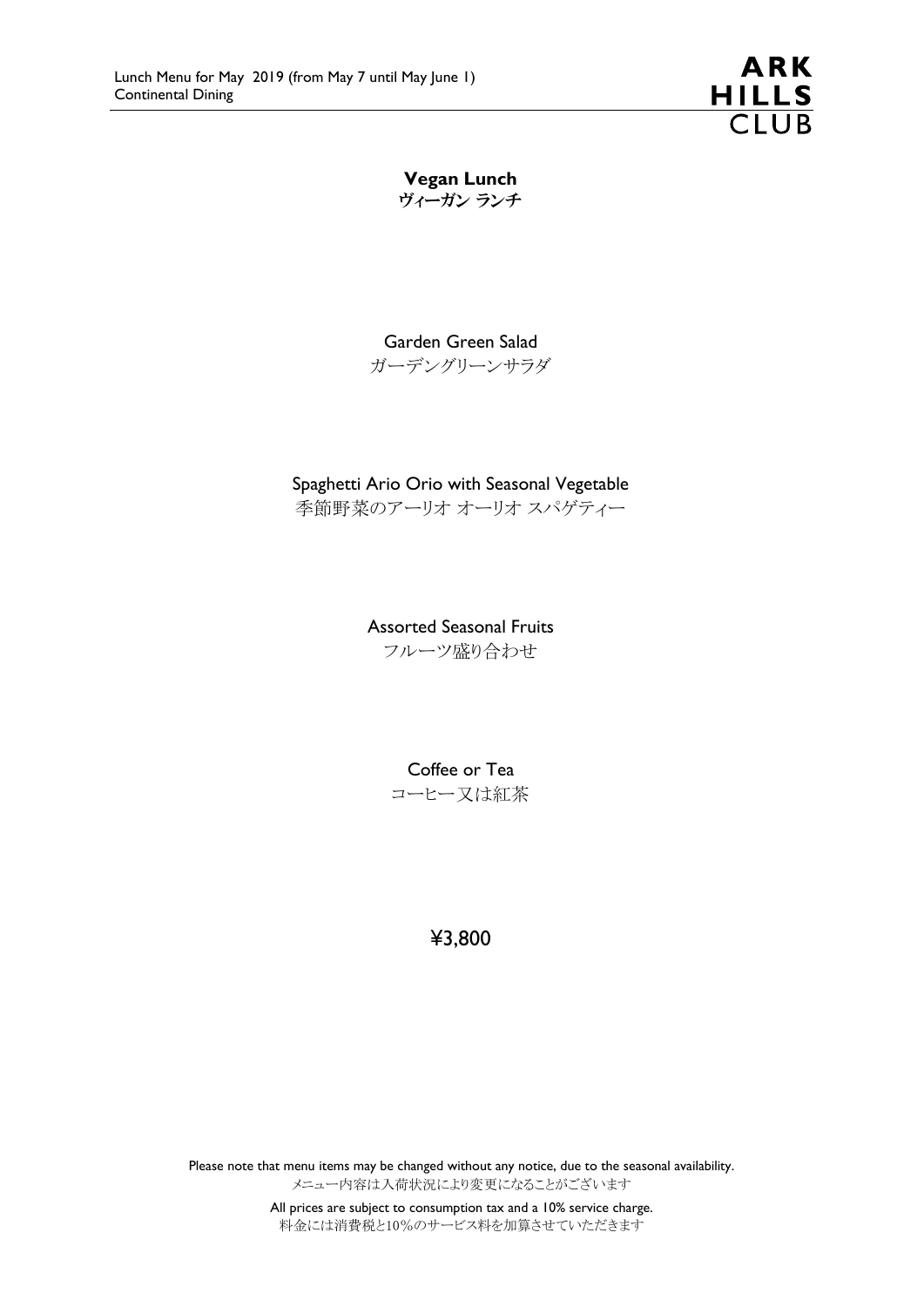

Vegan Lunch ヴィーガン ランチ

Garden Green Salad ガーデングリーンサラダ

#### Spaghetti Ario Orio with Seasonal Vegetable

季節野菜のアーリオ オーリオ スパゲティー

Assorted Seasonal Fruits フルーツ盛り合わせ

> Coffee or Tea コーヒー又は紅茶

> > ¥3,800

Please note that menu items may be changed without any notice, due to the seasonal availability. メニュー内容は入荷状況により変更になることがございます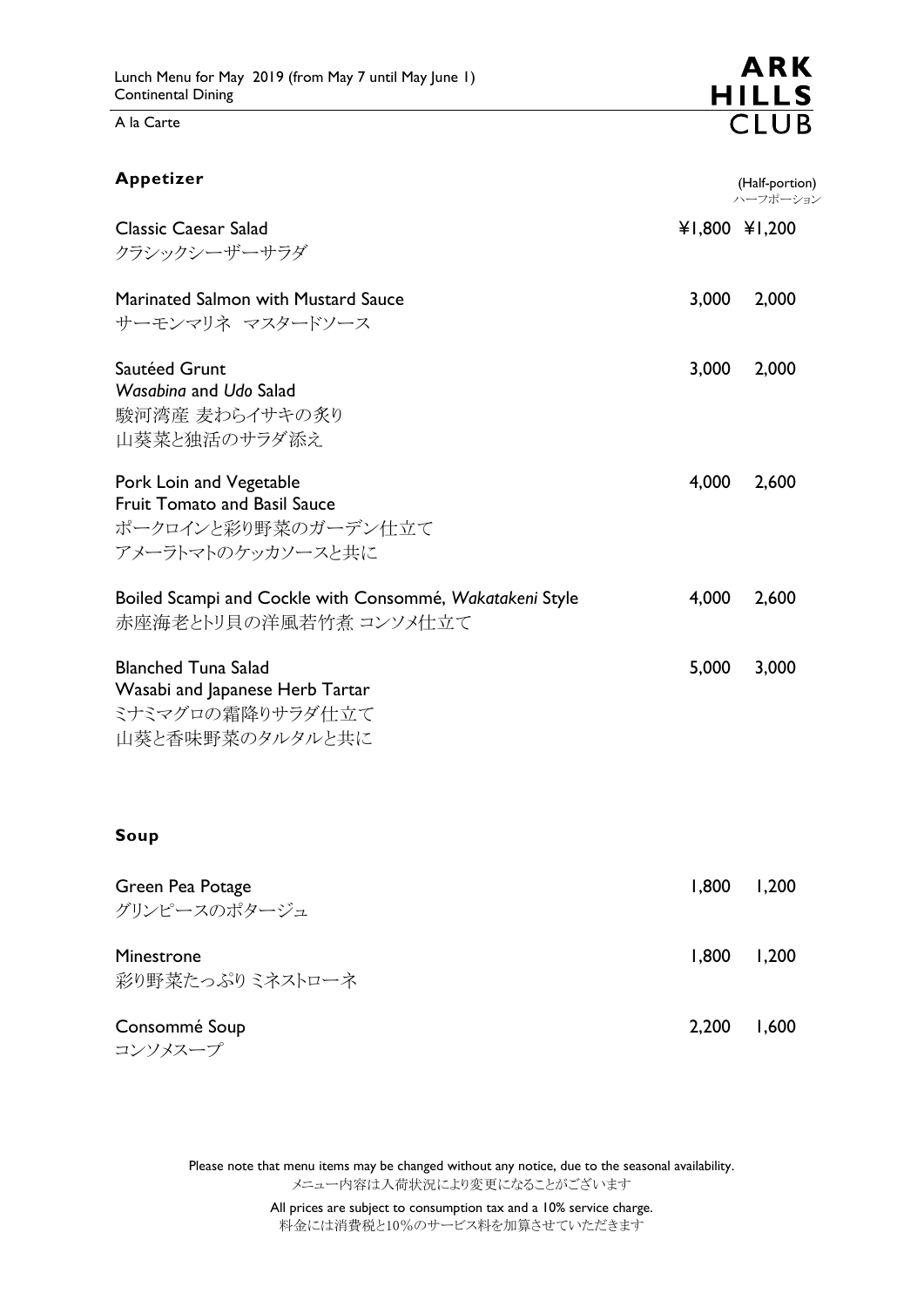A la Carte

| Appetizer                                                                                                  |       | (Half-portion)<br>ハーフポーション |
|------------------------------------------------------------------------------------------------------------|-------|----------------------------|
| <b>Classic Caesar Salad</b><br>クラシックシーザーサラダ                                                                |       | ¥1,800 ¥1,200              |
| Marinated Salmon with Mustard Sauce<br>サーモンマリネ マスタードソース                                                    | 3,000 | 2,000                      |
| Sautéed Grunt<br>Wasabing and Udo Salad<br>駿河湾産 麦わらイサキの炙り<br>山葵菜と独活のサラダ添え                                  | 3,000 | 2,000                      |
| Pork Loin and Vegetable<br><b>Fruit Tomato and Basil Sauce</b><br>ポークロインと彩り野菜のガーデン仕立て<br>アメーラトマトのケッカソースと共に | 4,000 | 2,600                      |
| Boiled Scampi and Cockle with Consommé, Wakatakeni Style<br>赤座海老とトリ貝の洋風若竹煮 コンソメ仕立て                         | 4,000 | 2,600                      |
| <b>Blanched Tuna Salad</b><br>Wasabi and Japanese Herb Tartar<br>ミナミマグロの霜降りサラダ仕立て<br>山葵と香味野菜のタルタルと共に       | 5,000 | 3,000                      |
| Soup                                                                                                       |       |                            |
| Green Pea Potage<br>グリンピースのポタージュ                                                                           | 1,800 | 1,200                      |
| Minestrone<br>彩り野菜たっぷりミネストローネ                                                                              | 1,800 | 1,200                      |
| Consommé Soup<br>コンソメスープ                                                                                   | 2,200 | 1,600                      |

Please note that menu items may be changed without any notice, due to the seasonal availability. メニュー内容は入荷状況により変更になることがございます